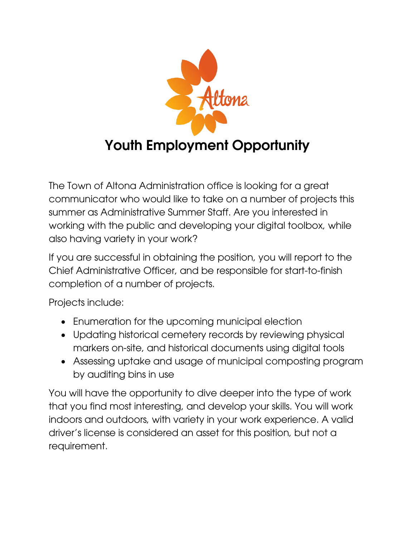

The Town of Altona Administration office is looking for a great communicator who would like to take on a number of projects this summer as Administrative Summer Staff. Are you interested in working with the public and developing your digital toolbox, while also having variety in your work?

If you are successful in obtaining the position, you will report to the Chief Administrative Officer, and be responsible for start-to-finish completion of a number of projects.

Projects include:

- Enumeration for the upcoming municipal election
- Updating historical cemetery records by reviewing physical markers on-site, and historical documents using digital tools
- Assessing uptake and usage of municipal composting program by auditing bins in use

You will have the opportunity to dive deeper into the type of work that you find most interesting, and develop your skills. You will work indoors and outdoors, with variety in your work experience. A valid driver's license is considered an asset for this position, but not a requirement.